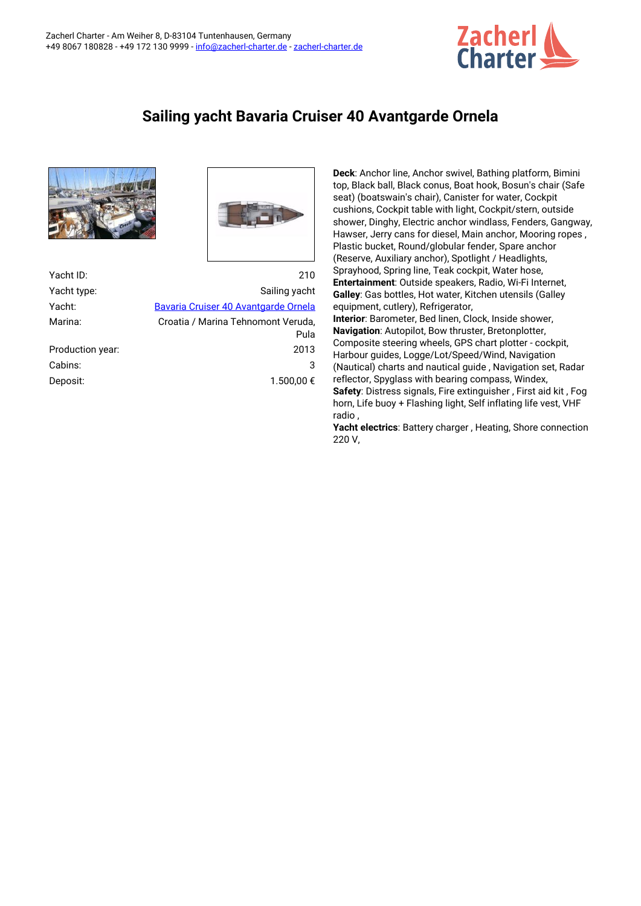

## **Sailing yacht Bavaria Cruiser 40 Avantgarde Ornela**





| Yacht ID:        | 210                                        |  |
|------------------|--------------------------------------------|--|
| Yacht type:      | Sailing yacht                              |  |
| Yacht:           | Bavaria Cruiser 40 Avantgarde Ornela       |  |
| Marina:          | Croatia / Marina Tehnomont Veruda,<br>Pula |  |
| Production year: | 2013                                       |  |
| Cabins:          | 3                                          |  |
| Deposit:         | 1.500.00 €                                 |  |
|                  |                                            |  |

**Deck**: Anchor line, Anchor swivel, Bathing platform, Bimini top, Black ball, Black conus, Boat hook, Bosun's chair (Safe seat) (boatswain's chair), Canister for water, Cockpit cushions, Cockpit table with light, Cockpit/stern, outside shower, Dinghy, Electric anchor windlass, Fenders, Gangway, Hawser, Jerry cans for diesel, Main anchor, Mooring ropes , Plastic bucket, Round/globular fender, Spare anchor (Reserve, Auxiliary anchor), Spotlight / Headlights, Sprayhood, Spring line, Teak cockpit, Water hose, **Entertainment**: Outside speakers, Radio, Wi-Fi Internet, **Galley**: Gas bottles, Hot water, Kitchen utensils (Galley equipment, cutlery), Refrigerator, **Interior**: Barometer, Bed linen, Clock, Inside shower, **Navigation**: Autopilot, Bow thruster, Bretonplotter, Composite steering wheels, GPS chart plotter - cockpit, Harbour guides, Logge/Lot/Speed/Wind, Navigation (Nautical) charts and nautical guide , Navigation set, Radar reflector, Spyglass with bearing compass, Windex, **Safety**: Distress signals, Fire extinguisher , First aid kit , Fog horn, Life buoy + Flashing light, Self inflating life vest, VHF radio ,

**Yacht electrics**: Battery charger , Heating, Shore connection 220 V,